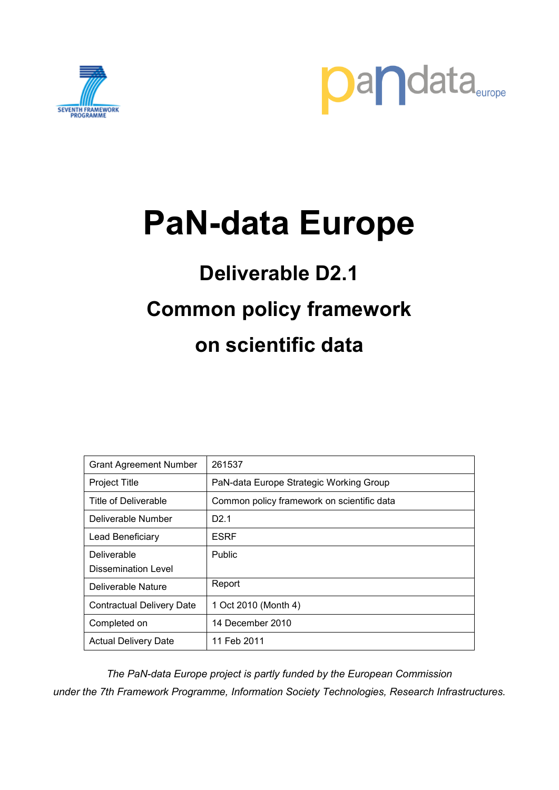



# **PaN-data Europe**

# **Deliverable D2.1 Common policy framework on scientific data**

| <b>Grant Agreement Number</b>    | 261537                                     |
|----------------------------------|--------------------------------------------|
| <b>Project Title</b>             | PaN-data Europe Strategic Working Group    |
| Title of Deliverable             | Common policy framework on scientific data |
| Deliverable Number               | D <sub>2.1</sub>                           |
| Lead Beneficiary                 | <b>ESRF</b>                                |
| <b>Deliverable</b>               | Public                                     |
| Dissemination Level              |                                            |
| Deliverable Nature               | Report                                     |
| <b>Contractual Delivery Date</b> | 1 Oct 2010 (Month 4)                       |
| Completed on                     | 14 December 2010                           |
| <b>Actual Delivery Date</b>      | 11 Feb 2011                                |

*The PaN-data Europe project is partly funded by the European Commission under the 7th Framework Programme, Information Society Technologies, Research Infrastructures.*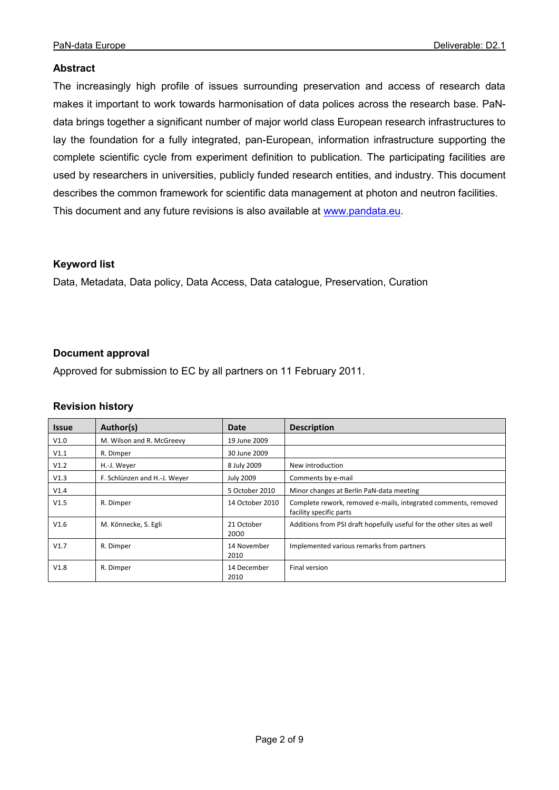#### **Abstract**

The increasingly high profile of issues surrounding preservation and access of research data makes it important to work towards harmonisation of data polices across the research base. PaNdata brings together a significant number of major world class European research infrastructures to lay the foundation for a fully integrated, pan-European, information infrastructure supporting the complete scientific cycle from experiment definition to publication. The participating facilities are used by researchers in universities, publicly funded research entities, and industry. This document describes the common framework for scientific data management at photon and neutron facilities. This document and any future revisions is also available at [www.pandata.eu.](http://www.pandata.eu/)

#### **Keyword list**

Data, Metadata, Data policy, Data Access, Data catalogue, Preservation, Curation

#### **Document approval**

Approved for submission to EC by all partners on 11 February 2011.

#### **Revision history**

| <b>Issue</b> | Author(s)                    | Date                | <b>Description</b>                                                                        |
|--------------|------------------------------|---------------------|-------------------------------------------------------------------------------------------|
| V1.0         | M. Wilson and R. McGreevy    | 19 June 2009        |                                                                                           |
| V1.1         | R. Dimper                    | 30 June 2009        |                                                                                           |
| V1.2         | H.-J. Weyer                  | 8 July 2009         | New introduction                                                                          |
| V1.3         | F. Schlünzen and H.-J. Weyer | <b>July 2009</b>    | Comments by e-mail                                                                        |
| V1.4         |                              | 5 October 2010      | Minor changes at Berlin PaN-data meeting                                                  |
| V1.5         | R. Dimper                    | 14 October 2010     | Complete rework, removed e-mails, integrated comments, removed<br>facility specific parts |
| V1.6         | M. Könnecke, S. Egli         | 21 October<br>2000  | Additions from PSI draft hopefully useful for the other sites as well                     |
| V1.7         | R. Dimper                    | 14 November<br>2010 | Implemented various remarks from partners                                                 |
| V1.8         | R. Dimper                    | 14 December<br>2010 | Final version                                                                             |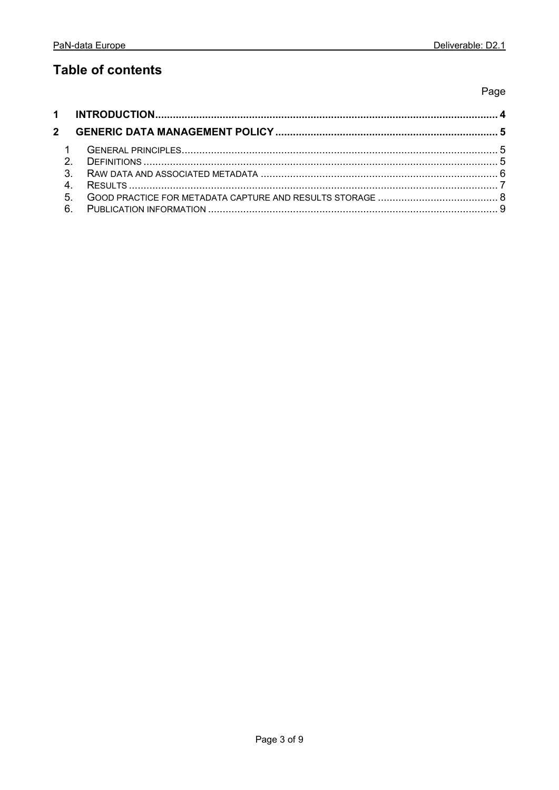### **Table of contents**

Page

| $\mathcal{P}$ |  |
|---------------|--|
|               |  |
|               |  |
| 6             |  |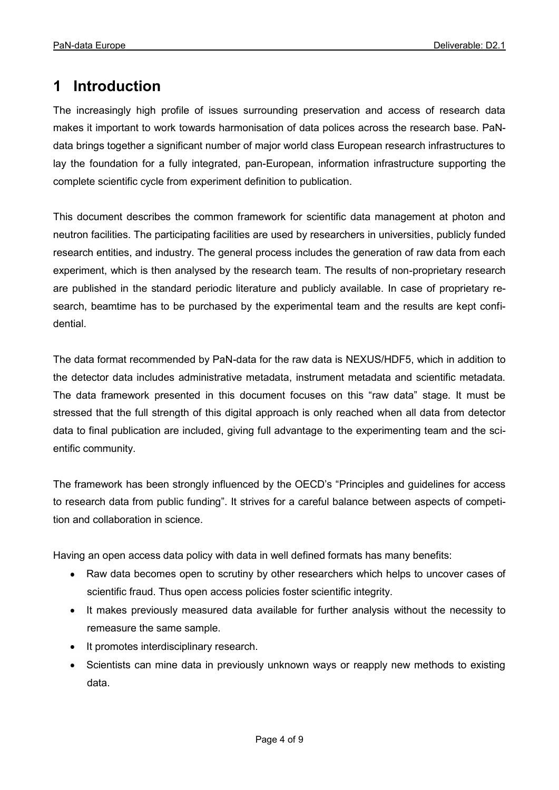#### <span id="page-3-0"></span>**1 Introduction**

The increasingly high profile of issues surrounding preservation and access of research data makes it important to work towards harmonisation of data polices across the research base. PaNdata brings together a significant number of major world class European research infrastructures to lay the foundation for a fully integrated, pan-European, information infrastructure supporting the complete scientific cycle from experiment definition to publication.

This document describes the common framework for scientific data management at photon and neutron facilities. The participating facilities are used by researchers in universities, publicly funded research entities, and industry. The general process includes the generation of raw data from each experiment, which is then analysed by the research team. The results of non-proprietary research are published in the standard periodic literature and publicly available. In case of proprietary research, beamtime has to be purchased by the experimental team and the results are kept confidential.

The data format recommended by PaN-data for the raw data is NEXUS/HDF5, which in addition to the detector data includes administrative metadata, instrument metadata and scientific metadata. The data framework presented in this document focuses on this "raw data" stage. It must be stressed that the full strength of this digital approach is only reached when all data from detector data to final publication are included, giving full advantage to the experimenting team and the scientific community.

The framework has been strongly influenced by the OECD's "Principles and guidelines for access to research data from public funding". It strives for a careful balance between aspects of competition and collaboration in science.

Having an open access data policy with data in well defined formats has many benefits:

- Raw data becomes open to scrutiny by other researchers which helps to uncover cases of scientific fraud. Thus open access policies foster scientific integrity.
- It makes previously measured data available for further analysis without the necessity to  $\bullet$ remeasure the same sample.
- It promotes interdisciplinary research.  $\bullet$
- Scientists can mine data in previously unknown ways or reapply new methods to existing data.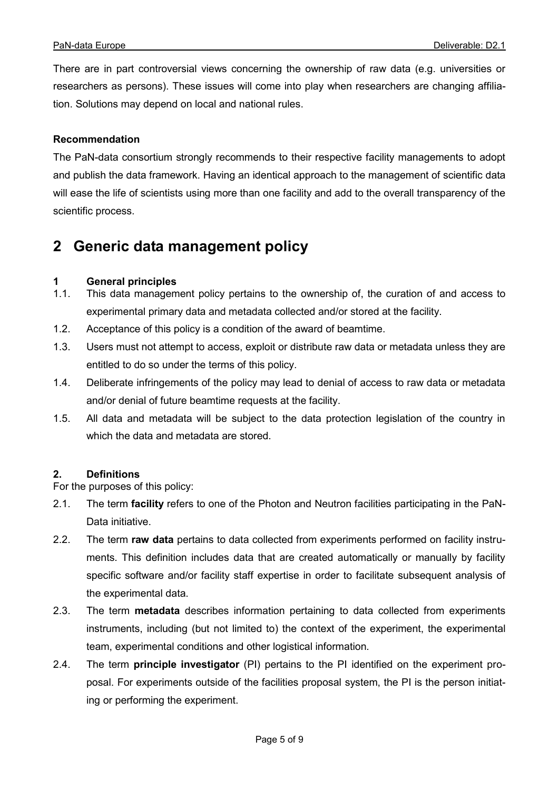There are in part controversial views concerning the ownership of raw data (e.g. universities or researchers as persons). These issues will come into play when researchers are changing affiliation. Solutions may depend on local and national rules.

#### **Recommendation**

The PaN-data consortium strongly recommends to their respective facility managements to adopt and publish the data framework. Having an identical approach to the management of scientific data will ease the life of scientists using more than one facility and add to the overall transparency of the scientific process.

#### <span id="page-4-0"></span>**2 Generic data management policy**

### <span id="page-4-1"></span>**1 General principles**

- This data management policy pertains to the ownership of, the curation of and access to experimental primary data and metadata collected and/or stored at the facility.
- 1.2. Acceptance of this policy is a condition of the award of beamtime.
- 1.3. Users must not attempt to access, exploit or distribute raw data or metadata unless they are entitled to do so under the terms of this policy.
- 1.4. Deliberate infringements of the policy may lead to denial of access to raw data or metadata and/or denial of future beamtime requests at the facility.
- 1.5. All data and metadata will be subject to the data protection legislation of the country in which the data and metadata are stored.

#### <span id="page-4-2"></span>**2. Definitions**

For the purposes of this policy:

- 2.1. The term **facility** refers to one of the Photon and Neutron facilities participating in the PaN-Data initiative.
- 2.2. The term **raw data** pertains to data collected from experiments performed on facility instruments. This definition includes data that are created automatically or manually by facility specific software and/or facility staff expertise in order to facilitate subsequent analysis of the experimental data.
- 2.3. The term **metadata** describes information pertaining to data collected from experiments instruments, including (but not limited to) the context of the experiment, the experimental team, experimental conditions and other logistical information.
- 2.4. The term **principle investigator** (PI) pertains to the PI identified on the experiment proposal. For experiments outside of the facilities proposal system, the PI is the person initiating or performing the experiment.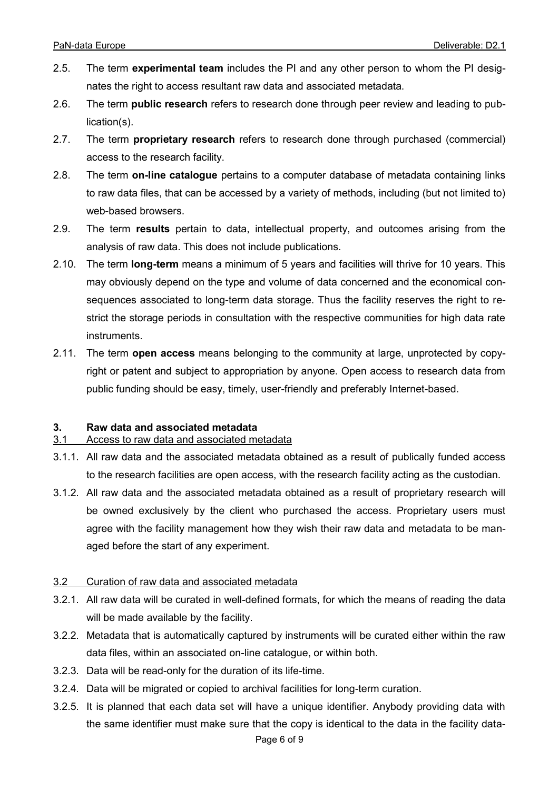- 2.5. The term **experimental team** includes the PI and any other person to whom the PI designates the right to access resultant raw data and associated metadata.
- 2.6. The term **public research** refers to research done through peer review and leading to publication(s).
- 2.7. The term **proprietary research** refers to research done through purchased (commercial) access to the research facility.
- 2.8. The term **on-line catalogue** pertains to a computer database of metadata containing links to raw data files, that can be accessed by a variety of methods, including (but not limited to) web-based browsers.
- 2.9. The term **results** pertain to data, intellectual property, and outcomes arising from the analysis of raw data. This does not include publications.
- 2.10. The term **long-term** means a minimum of 5 years and facilities will thrive for 10 years. This may obviously depend on the type and volume of data concerned and the economical consequences associated to long-term data storage. Thus the facility reserves the right to restrict the storage periods in consultation with the respective communities for high data rate instruments.
- 2.11. The term **open access** means belonging to the community at large, unprotected by copyright or patent and subject to appropriation by anyone. Open access to research data from public funding should be easy, timely, user-friendly and preferably Internet-based.

#### <span id="page-5-0"></span>**3. Raw data and associated metadata**

#### 3.1 Access to raw data and associated metadata

- 3.1.1. All raw data and the associated metadata obtained as a result of publically funded access to the research facilities are open access, with the research facility acting as the custodian.
- 3.1.2. All raw data and the associated metadata obtained as a result of proprietary research will be owned exclusively by the client who purchased the access. Proprietary users must agree with the facility management how they wish their raw data and metadata to be managed before the start of any experiment.

#### 3.2 Curation of raw data and associated metadata

- 3.2.1. All raw data will be curated in well-defined formats, for which the means of reading the data will be made available by the facility.
- 3.2.2. Metadata that is automatically captured by instruments will be curated either within the raw data files, within an associated on-line catalogue, or within both.
- 3.2.3. Data will be read-only for the duration of its life-time.
- 3.2.4. Data will be migrated or copied to archival facilities for long-term curation.
- Page 6 of 9 3.2.5. It is planned that each data set will have a unique identifier. Anybody providing data with the same identifier must make sure that the copy is identical to the data in the facility data-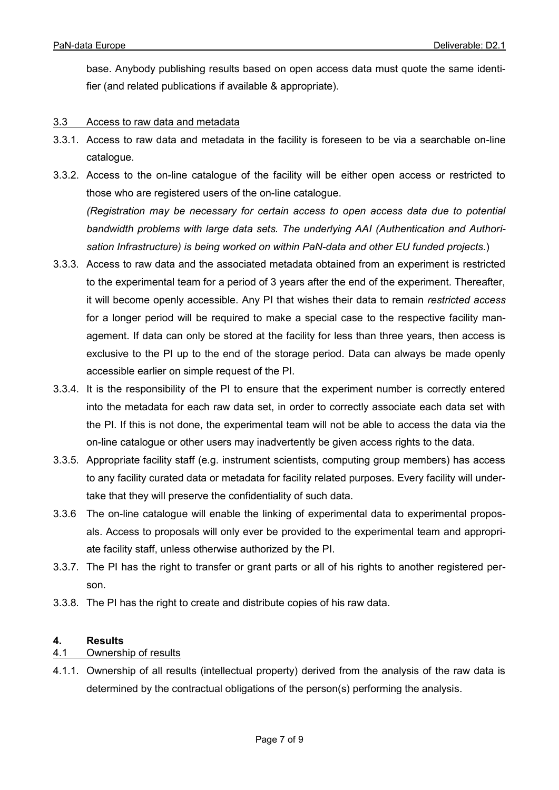base. Anybody publishing results based on open access data must quote the same identifier (and related publications if available & appropriate).

#### 3.3 Access to raw data and metadata

- 3.3.1. Access to raw data and metadata in the facility is foreseen to be via a searchable on-line catalogue.
- 3.3.2. Access to the on-line catalogue of the facility will be either open access or restricted to those who are registered users of the on-line catalogue. *(Registration may be necessary for certain access to open access data due to potential bandwidth problems with large data sets. The underlying AAI (Authentication and Authorisation Infrastructure) is being worked on within PaN-data and other EU funded projects.*)
- 3.3.3. Access to raw data and the associated metadata obtained from an experiment is restricted to the experimental team for a period of 3 years after the end of the experiment. Thereafter, it will become openly accessible. Any PI that wishes their data to remain *restricted access* for a longer period will be required to make a special case to the respective facility management. If data can only be stored at the facility for less than three years, then access is exclusive to the PI up to the end of the storage period. Data can always be made openly accessible earlier on simple request of the PI.
- 3.3.4. It is the responsibility of the PI to ensure that the experiment number is correctly entered into the metadata for each raw data set, in order to correctly associate each data set with the PI. If this is not done, the experimental team will not be able to access the data via the on-line catalogue or other users may inadvertently be given access rights to the data.
- 3.3.5. Appropriate facility staff (e.g. instrument scientists, computing group members) has access to any facility curated data or metadata for facility related purposes. Every facility will undertake that they will preserve the confidentiality of such data.
- 3.3.6 The on-line catalogue will enable the linking of experimental data to experimental proposals. Access to proposals will only ever be provided to the experimental team and appropriate facility staff, unless otherwise authorized by the PI.
- 3.3.7. The PI has the right to transfer or grant parts or all of his rights to another registered person.
- <span id="page-6-0"></span>3.3.8. The PI has the right to create and distribute copies of his raw data.

## **4. Results**

#### Ownership of results

4.1.1. Ownership of all results (intellectual property) derived from the analysis of the raw data is determined by the contractual obligations of the person(s) performing the analysis.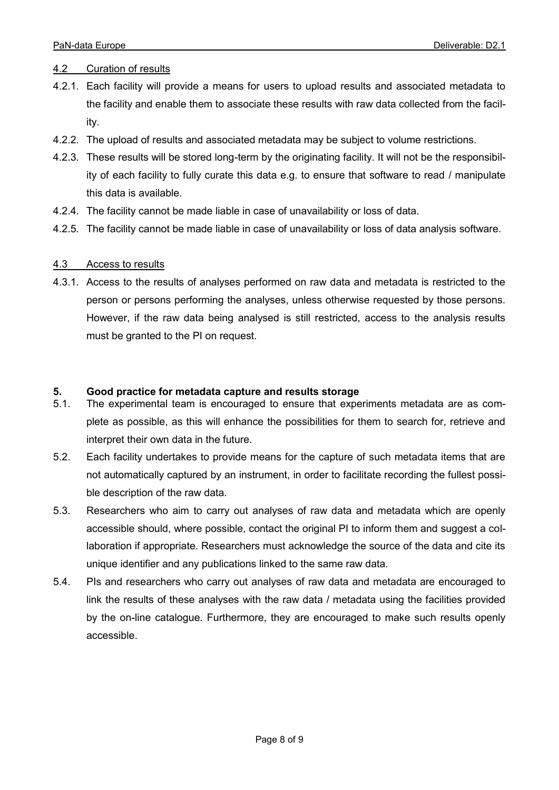#### 4.2 Curation of results

- 4.2.1. Each facility will provide a means for users to upload results and associated metadata to the facility and enable them to associate these results with raw data collected from the facility.
- 4.2.2. The upload of results and associated metadata may be subject to volume restrictions.
- 4.2.3. These results will be stored long-term by the originating facility. It will not be the responsibility of each facility to fully curate this data e.g. to ensure that software to read / manipulate this data is available.
- 4.2.4. The facility cannot be made liable in case of unavailability or loss of data.
- 4.2.5. The facility cannot be made liable in case of unavailability or loss of data analysis software.

#### 4.3 Access to results

4.3.1. Access to the results of analyses performed on raw data and metadata is restricted to the person or persons performing the analyses, unless otherwise requested by those persons. However, if the raw data being analysed is still restricted, access to the analysis results must be granted to the PI on request.

#### <span id="page-7-0"></span>**5. Good practice for metadata capture and results storage**

- 5.1. The experimental team is encouraged to ensure that experiments metadata are as complete as possible, as this will enhance the possibilities for them to search for, retrieve and interpret their own data in the future.
- 5.2. Each facility undertakes to provide means for the capture of such metadata items that are not automatically captured by an instrument, in order to facilitate recording the fullest possible description of the raw data.
- 5.3. Researchers who aim to carry out analyses of raw data and metadata which are openly accessible should, where possible, contact the original PI to inform them and suggest a collaboration if appropriate. Researchers must acknowledge the source of the data and cite its unique identifier and any publications linked to the same raw data.
- 5.4. PIs and researchers who carry out analyses of raw data and metadata are encouraged to link the results of these analyses with the raw data / metadata using the facilities provided by the on-line catalogue. Furthermore, they are encouraged to make such results openly accessible.